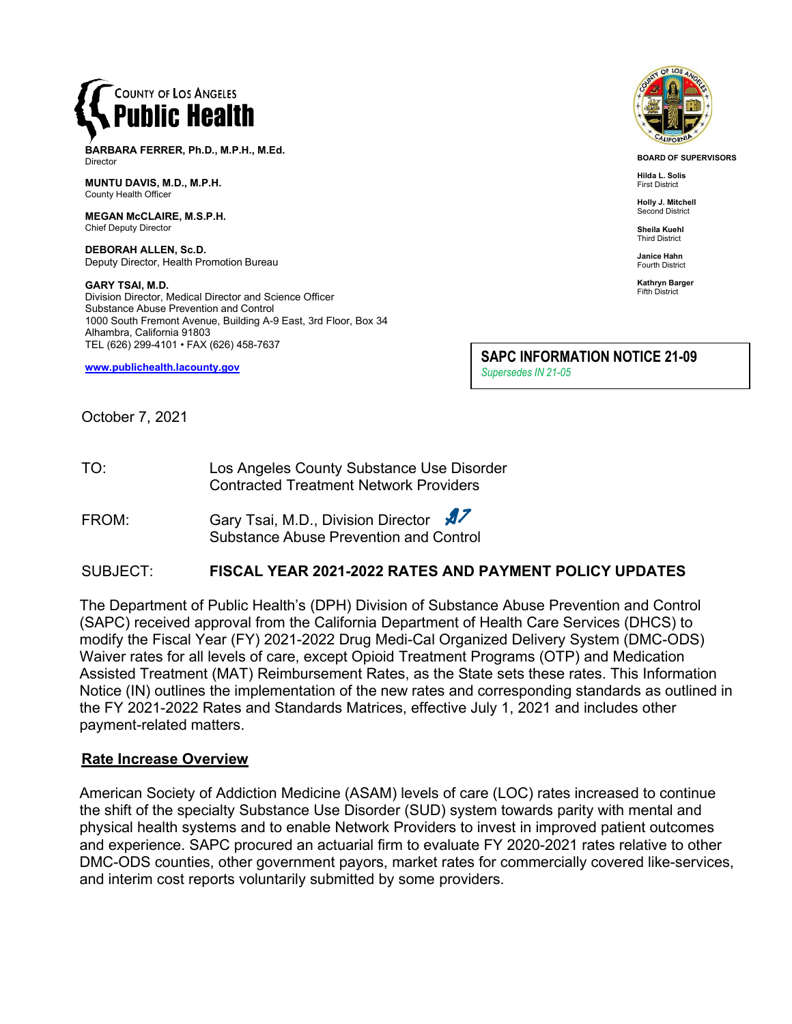

**BARBARA FERRER, Ph.D., M.P.H., M.Ed.** Director

**MUNTU DAVIS, M.D., M.P.H.** County Health Officer

**MEGAN McCLAIRE, M.S.P.H.** Chief Deputy Director

**DEBORAH ALLEN, Sc.D.** Deputy Director, Health Promotion Bureau

**GARY TSAI, M.D.** Division Director, Medical Director and Science Officer Substance Abuse Prevention and Control 1000 South Fremont Avenue, Building A-9 East, 3rd Floor, Box 34 Alhambra, California 91803 TEL (626) 299-4101 • FAX (626) 458-7637

**[www.publichealth.lacounty.gov](http://www.publichealth.lacounty.gov/)**

**SAPC INFORMATION NOTICE 21-09** *Supersedes IN 21-05*

October 7, 2021

TO: Los Angeles County Substance Use Disorder Contracted Treatment Network Providers

FROM: Gary Tsai, M.D., Division Director Substance Abuse Prevention and Control

### SUBJECT: **FISCAL YEAR 2021-2022 RATES AND PAYMENT POLICY UPDATES**

The Department of Public Health's (DPH) Division of Substance Abuse Prevention and Control (SAPC) received approval from the California Department of Health Care Services (DHCS) to modify the Fiscal Year (FY) 2021-2022 Drug Medi-Cal Organized Delivery System (DMC-ODS) Waiver rates for all levels of care, except Opioid Treatment Programs (OTP) and Medication Assisted Treatment (MAT) Reimbursement Rates, as the State sets these rates. This Information Notice (IN) outlines the implementation of the new rates and corresponding standards as outlined in the FY 2021-2022 Rates and Standards Matrices, effective July 1, 2021 and includes other payment-related matters.

#### **Rate Increase Overview**

American Society of Addiction Medicine (ASAM) levels of care (LOC) rates increased to continue the shift of the specialty Substance Use Disorder (SUD) system towards parity with mental and physical health systems and to enable Network Providers to invest in improved patient outcomes and experience. SAPC procured an actuarial firm to evaluate FY 2020-2021 rates relative to other DMC-ODS counties, other government payors, market rates for commercially covered like-services, and interim cost reports voluntarily submitted by some providers.



**BOARD OF SUPERVISORS**

**Hilda L. Solis** First District

**Holly J. Mitchell** Second District

**Sheila Kuehl** Third District

**Janice Hahn** Fourth District

**Kathryn Barger** Fifth District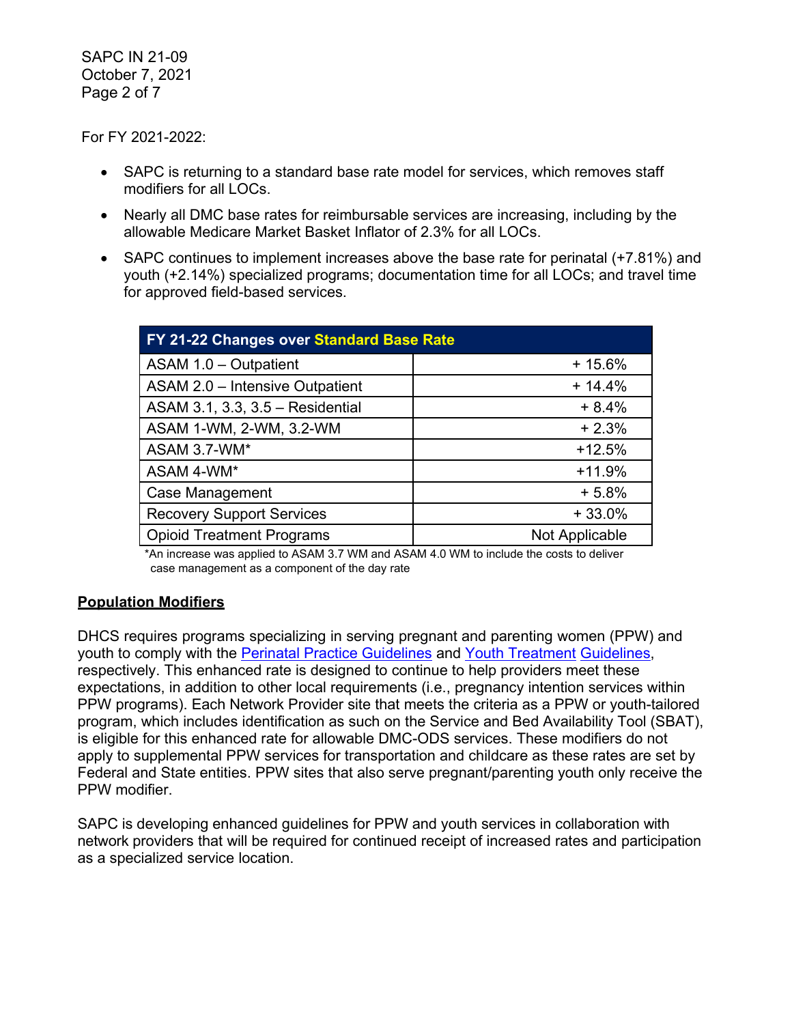SAPC IN 21-09 October 7, 2021 Page 2 of 7

For FY 2021-2022:

- SAPC is returning to a standard base rate model for services, which removes staff modifiers for all LOCs.
- Nearly all DMC base rates for reimbursable services are increasing, including by the allowable Medicare Market Basket Inflator of 2.3% for all LOCs.
- SAPC continues to implement increases above the base rate for perinatal (+7.81%) and youth (+2.14%) specialized programs; documentation time for all LOCs; and travel time for approved field-based services.

| FY 21-22 Changes over Standard Base Rate |                |  |
|------------------------------------------|----------------|--|
| ASAM 1.0 - Outpatient                    | $+15.6%$       |  |
| ASAM 2.0 - Intensive Outpatient          | $+14.4%$       |  |
| ASAM 3.1, 3.3, 3.5 - Residential         | $+8.4%$        |  |
| ASAM 1-WM, 2-WM, 3.2-WM                  | $+2.3%$        |  |
| ASAM 3.7-WM*                             | $+12.5%$       |  |
| ASAM 4-WM*                               | $+11.9%$       |  |
| <b>Case Management</b>                   | $+5.8%$        |  |
| <b>Recovery Support Services</b>         | $+33.0%$       |  |
| <b>Opioid Treatment Programs</b>         | Not Applicable |  |

\*An increase was applied to ASAM 3.7 WM and ASAM 4.0 WM to include the costs to deliver case management as a component of the day rate

#### **Population Modifiers**

DHCS requires programs specializing in serving pregnant and parenting women (PPW) and youth to comply with the [Perinatal Practice Guidelines](https://www.dhcs.ca.gov/individuals/Documents/Perinatal_Practice_Guidelines_FY1819.pdf) and [Youth Treatment](https://www.dhcs.ca.gov/individuals/Documents/Youth_Treatment_Guidelines.pdf) [Guidelines,](https://www.dhcs.ca.gov/individuals/Documents/Youth_Treatment_Guidelines.pdf) respectively. This enhanced rate is designed to continue to help providers meet these expectations, in addition to other local requirements (i.e., pregnancy intention services within PPW programs). Each Network Provider site that meets the criteria as a PPW or youth-tailored program, which includes identification as such on the Service and Bed Availability Tool (SBAT), is eligible for this enhanced rate for allowable DMC-ODS services. These modifiers do not apply to supplemental PPW services for transportation and childcare as these rates are set by Federal and State entities. PPW sites that also serve pregnant/parenting youth only receive the PPW modifier.

SAPC is developing enhanced guidelines for PPW and youth services in collaboration with network providers that will be required for continued receipt of increased rates and participation as a specialized service location.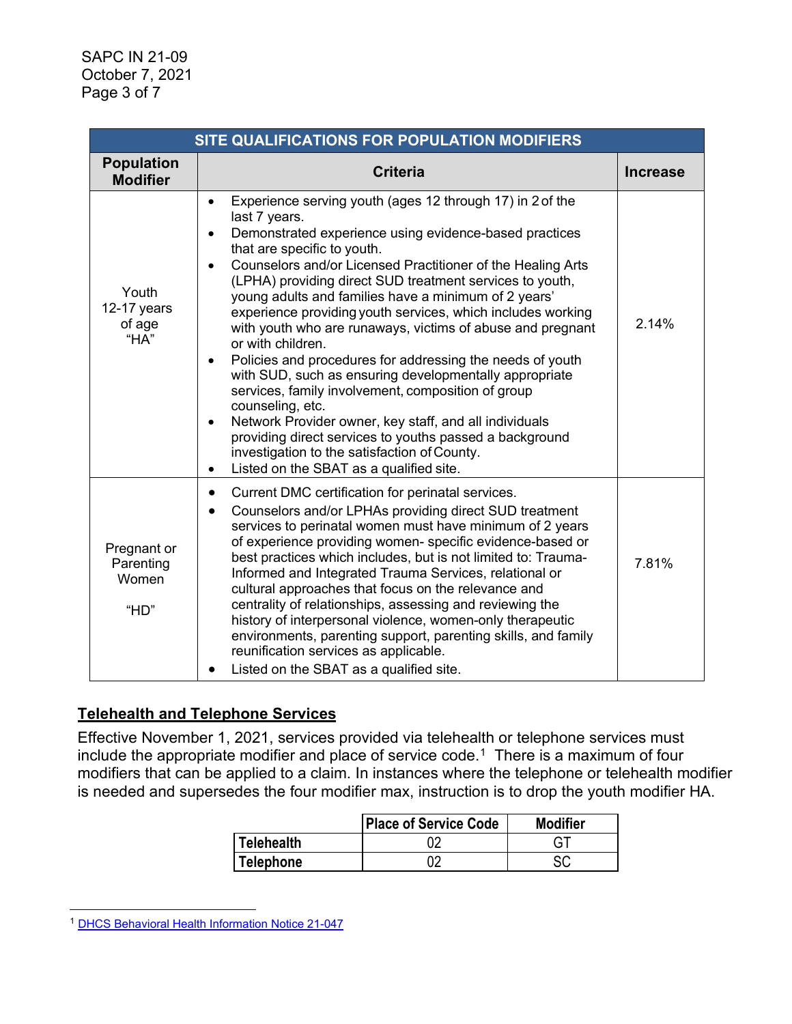| SITE QUALIFICATIONS FOR POPULATION MODIFIERS |                                                                                                                                                                                                                                                                                                                                                                                                                                                                                                                                                                                                                                                                                                                                                                                                                                                                                                                                                                                                         |                 |  |
|----------------------------------------------|---------------------------------------------------------------------------------------------------------------------------------------------------------------------------------------------------------------------------------------------------------------------------------------------------------------------------------------------------------------------------------------------------------------------------------------------------------------------------------------------------------------------------------------------------------------------------------------------------------------------------------------------------------------------------------------------------------------------------------------------------------------------------------------------------------------------------------------------------------------------------------------------------------------------------------------------------------------------------------------------------------|-----------------|--|
| <b>Population</b><br><b>Modifier</b>         | <b>Criteria</b>                                                                                                                                                                                                                                                                                                                                                                                                                                                                                                                                                                                                                                                                                                                                                                                                                                                                                                                                                                                         | <b>Increase</b> |  |
| Youth<br>12-17 years<br>of age<br>"HA"       | Experience serving youth (ages 12 through 17) in 2 of the<br>$\bullet$<br>last 7 years.<br>Demonstrated experience using evidence-based practices<br>$\bullet$<br>that are specific to youth.<br>Counselors and/or Licensed Practitioner of the Healing Arts<br>$\bullet$<br>(LPHA) providing direct SUD treatment services to youth,<br>young adults and families have a minimum of 2 years'<br>experience providing youth services, which includes working<br>with youth who are runaways, victims of abuse and pregnant<br>or with children.<br>Policies and procedures for addressing the needs of youth<br>$\bullet$<br>with SUD, such as ensuring developmentally appropriate<br>services, family involvement, composition of group<br>counseling, etc.<br>Network Provider owner, key staff, and all individuals<br>$\bullet$<br>providing direct services to youths passed a background<br>investigation to the satisfaction of County.<br>Listed on the SBAT as a qualified site.<br>$\bullet$ | 2.14%           |  |
| Pregnant or<br>Parenting<br>Women<br>"HD"    | Current DMC certification for perinatal services.<br>$\bullet$<br>Counselors and/or LPHAs providing direct SUD treatment<br>$\bullet$<br>services to perinatal women must have minimum of 2 years<br>of experience providing women- specific evidence-based or<br>best practices which includes, but is not limited to: Trauma-<br>Informed and Integrated Trauma Services, relational or<br>cultural approaches that focus on the relevance and<br>centrality of relationships, assessing and reviewing the<br>history of interpersonal violence, women-only therapeutic<br>environments, parenting support, parenting skills, and family<br>reunification services as applicable.<br>Listed on the SBAT as a qualified site.<br>$\bullet$                                                                                                                                                                                                                                                             | 7.81%           |  |

# **Telehealth and Telephone Services**

Effective November 1, 2021, services provided via telehealth or telephone services must include the appropriate modifier and place of service code.<sup>1</sup> There is a maximum of four modifiers that can be applied to a claim. In instances where the telephone or telehealth modifier is needed and supersedes the four modifier max, instruction is to drop the youth modifier HA.

|                   | <b>Place of Service Code</b> | <b>Modifier</b> |
|-------------------|------------------------------|-----------------|
| <b>Telehealth</b> |                              |                 |
| <b>Telephone</b>  | ገጣ                           | cr.             |

<span id="page-2-0"></span><sup>1</sup> [DHCS Behavioral Health Information Notice 21-047](https://www.dhcs.ca.gov/Documents/BHIN-21-047-Telehealth-Guidance-for-SMHS-and-SUD-Medi-Cal.pdf)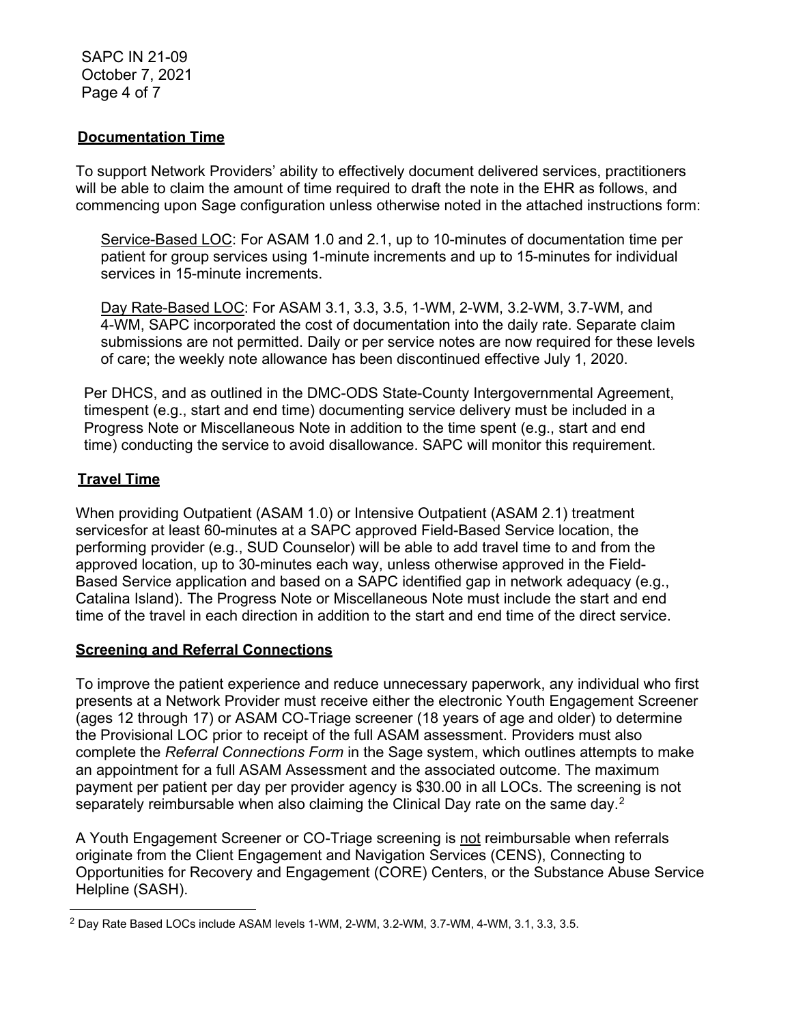SAPC IN 21-09 October 7, 2021 Page 4 of 7

### **Documentation Time**

To support Network Providers' ability to effectively document delivered services, practitioners will be able to claim the amount of time required to draft the note in the EHR as follows, and commencing upon Sage configuration unless otherwise noted in the attached instructions form:

Service-Based LOC: For ASAM 1.0 and 2.1, up to 10-minutes of documentation time per patient for group services using 1-minute increments and up to 15-minutes for individual services in 15-minute increments.

Day Rate-Based LOC: For ASAM 3.1, 3.3, 3.5, 1-WM, 2-WM, 3.2-WM, 3.7-WM, and 4-WM, SAPC incorporated the cost of documentation into the daily rate. Separate claim submissions are not permitted. Daily or per service notes are now required for these levels of care; the weekly note allowance has been discontinued effective July 1, 2020.

Per DHCS, and as outlined in the DMC-ODS State-County Intergovernmental Agreement, timespent (e.g., start and end time) documenting service delivery must be included in a Progress Note or Miscellaneous Note in addition to the time spent (e.g., start and end time) conducting the service to avoid disallowance. SAPC will monitor this requirement.

## **Travel Time**

When providing Outpatient (ASAM 1.0) or Intensive Outpatient (ASAM 2.1) treatment servicesfor at least 60-minutes at a SAPC approved Field-Based Service location, the performing provider (e.g., SUD Counselor) will be able to add travel time to and from the approved location, up to 30-minutes each way, unless otherwise approved in the Field-Based Service application and based on a SAPC identified gap in network adequacy (e.g., Catalina Island). The Progress Note or Miscellaneous Note must include the start and end time of the travel in each direction in addition to the start and end time of the direct service.

#### **Screening and Referral Connections**

To improve the patient experience and reduce unnecessary paperwork, any individual who first presents at a Network Provider must receive either the electronic Youth Engagement Screener (ages 12 through 17) or ASAM CO-Triage screener (18 years of age and older) to determine the Provisional LOC prior to receipt of the full ASAM assessment. Providers must also complete the *Referral Connections Form* in the Sage system, which outlines attempts to make an appointment for a full ASAM Assessment and the associated outcome. The maximum payment per patient per day per provider agency is \$30.00 in all LOCs. The screening is not separately reimbursable when also claiming the Clinical Day rate on the same day.<sup>[2](#page-3-0)</sup>

A Youth Engagement Screener or CO-Triage screening is not reimbursable when referrals originate from the Client Engagement and Navigation Services (CENS), Connecting to Opportunities for Recovery and Engagement (CORE) Centers, or the Substance Abuse Service Helpline (SASH).

<span id="page-3-0"></span><sup>2</sup> Day Rate Based LOCs include ASAM levels 1-WM, 2-WM, 3.2-WM, 3.7-WM, 4-WM, 3.1, 3.3, 3.5.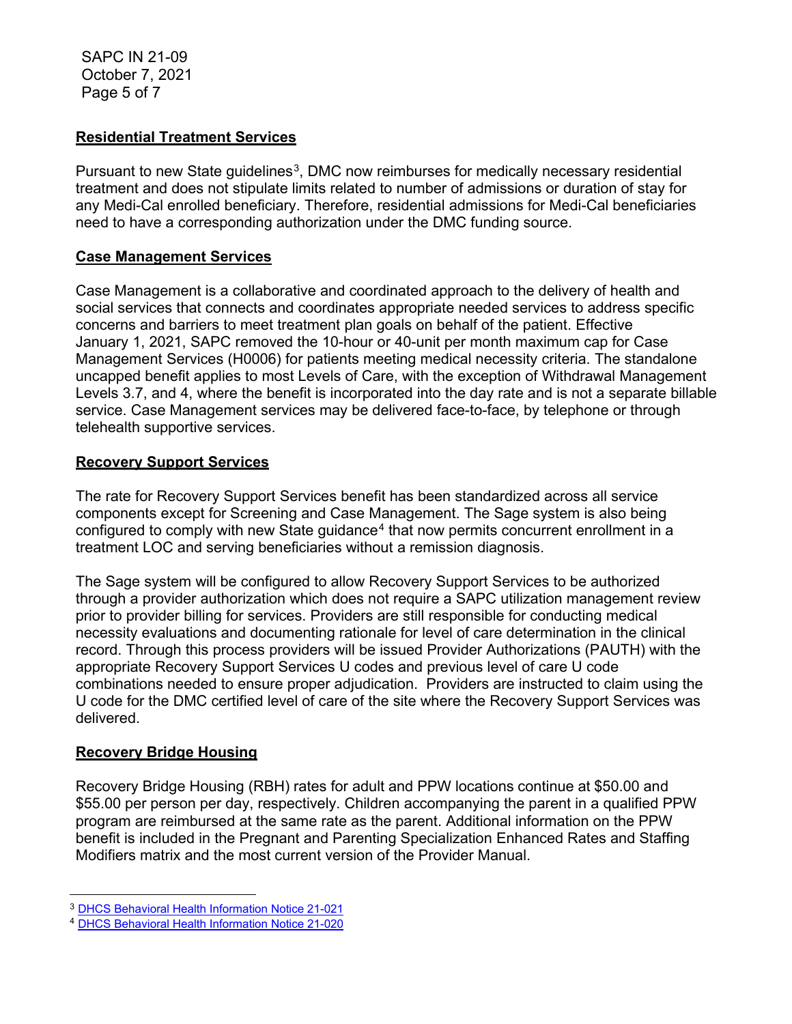SAPC IN 21-09 October 7, 2021 Page 5 of 7

### **Residential Treatment Services**

Pursuant to new State guidelines<sup>[3](#page-4-0)</sup>, DMC now reimburses for medically necessary residential treatment and does not stipulate limits related to number of admissions or duration of stay for any Medi-Cal enrolled beneficiary. Therefore, residential admissions for Medi-Cal beneficiaries need to have a corresponding authorization under the DMC funding source.

#### **Case Management Services**

Case Management is a collaborative and coordinated approach to the delivery of health and social services that connects and coordinates appropriate needed services to address specific concerns and barriers to meet treatment plan goals on behalf of the patient. Effective January 1, 2021, SAPC removed the 10-hour or 40-unit per month maximum cap for Case Management Services (H0006) for patients meeting medical necessity criteria. The standalone uncapped benefit applies to most Levels of Care, with the exception of Withdrawal Management Levels 3.7, and 4, where the benefit is incorporated into the day rate and is not a separate billable service. Case Management services may be delivered face-to-face, by telephone or through telehealth supportive services.

### **Recovery Support Services**

The rate for Recovery Support Services benefit has been standardized across all service components except for Screening and Case Management. The Sage system is also being configured to comply with new State guidance<sup>[4](#page-4-1)</sup> that now permits concurrent enrollment in a treatment LOC and serving beneficiaries without a remission diagnosis.

The Sage system will be configured to allow Recovery Support Services to be authorized through a provider authorization which does not require a SAPC utilization management review prior to provider billing for services. Providers are still responsible for conducting medical necessity evaluations and documenting rationale for level of care determination in the clinical record. Through this process providers will be issued Provider Authorizations (PAUTH) with the appropriate Recovery Support Services U codes and previous level of care U code combinations needed to ensure proper adjudication. Providers are instructed to claim using the U code for the DMC certified level of care of the site where the Recovery Support Services was delivered.

#### **Recovery Bridge Housing**

Recovery Bridge Housing (RBH) rates for adult and PPW locations continue at \$50.00 and \$55.00 per person per day, respectively. Children accompanying the parent in a qualified PPW program are reimbursed at the same rate as the parent. Additional information on the PPW benefit is included in the Pregnant and Parenting Specialization Enhanced Rates and Staffing Modifiers matrix and the most current version of the Provider Manual.

<span id="page-4-0"></span><sup>3</sup> [DHCS Behavioral Health Information Notice 21-021](https://www.dhcs.ca.gov/formsandpubs/Pages/2021-MHSUDS-BH-Information-Notices.aspx)

<span id="page-4-1"></span><sup>4</sup> [DHCS Behavioral Health Information Notice 21-020](https://www.dhcs.ca.gov/Documents/BHIN-21-020-DMC-ODS-Clarification-on-Recovery-Services.pdf)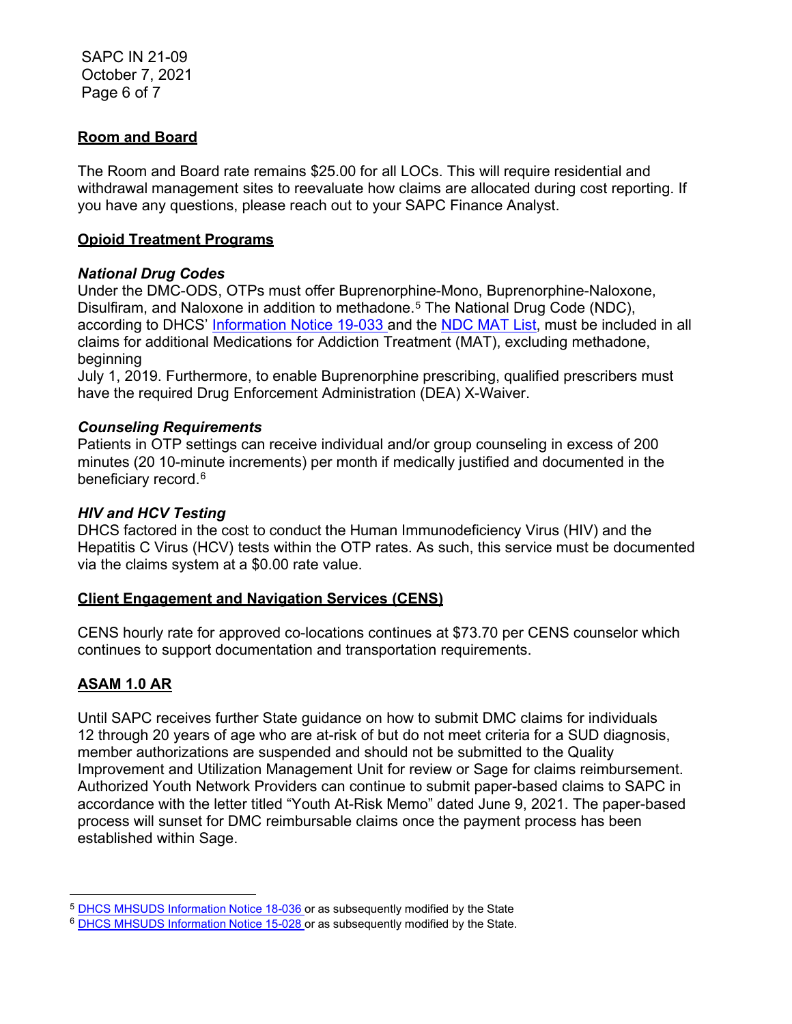SAPC IN 21-09 October 7, 2021 Page 6 of 7

### **Room and Board**

The Room and Board rate remains \$25.00 for all LOCs. This will require residential and withdrawal management sites to reevaluate how claims are allocated during cost reporting. If you have any questions, please reach out to your SAPC Finance Analyst.

#### **Opioid Treatment Programs**

### *National Drug Codes*

Under the DMC-ODS, OTPs must offer Buprenorphine-Mono, Buprenorphine-Naloxone, Disulfiram, and Naloxone in addition to methadone.<sup>[5](#page-5-0)</sup> The National Drug Code (NDC), according to DHCS' [Information Notice 19-033 a](https://www.dhcs.ca.gov/formsandpubs/Documents/MHSUDS%20Information%20Notices/MHSUDS_Information_Notices_2019/MHSUDS-Information-Notice-19-033-NDC-MAT-FINAL.pdf)nd the [NDC MAT List,](https://www.dhcs.ca.gov/formsandpubs/Documents/MHSUDS%20Information%20Notices/MHSUDS_Information_Notices_2019/MHSUDS-Information-Notice-19-033-Exhibit-A-NDC-List-for-DMC-ODS-MAT-Services.pdf) must be included in all claims for additional Medications for Addiction Treatment (MAT), excluding methadone, beginning

July 1, 2019. Furthermore, to enable Buprenorphine prescribing, qualified prescribers must have the required Drug Enforcement Administration (DEA) X-Waiver.

### *Counseling Requirements*

Patients in OTP settings can receive individual and/or group counseling in excess of 200 minutes (20 10-minute increments) per month if medically justified and documented in the beneficiary record.<sup>[6](#page-5-1)</sup>

#### *HIV and HCV Testing*

DHCS factored in the cost to conduct the Human Immunodeficiency Virus (HIV) and the Hepatitis C Virus (HCV) tests within the OTP rates. As such, this service must be documented via the claims system at a \$0.00 rate value.

#### **Client Engagement and Navigation Services (CENS)**

CENS hourly rate for approved co-locations continues at \$73.70 per CENS counselor which continues to support documentation and transportation requirements.

#### **ASAM 1.0 AR**

Until SAPC receives further State guidance on how to submit DMC claims for individuals 12 through 20 years of age who are at-risk of but do not meet criteria for a SUD diagnosis, member authorizations are suspended and should not be submitted to the Quality Improvement and Utilization Management Unit for review or Sage for claims reimbursement. Authorized Youth Network Providers can continue to submit paper-based claims to SAPC in accordance with the letter titled "Youth At-Risk Memo" dated June 9, 2021. The paper-based process will sunset for DMC reimbursable claims once the payment process has been established within Sage.

<span id="page-5-0"></span><sup>&</sup>lt;sup>5</sup> DHCS MHSUDS [Information](https://www.dhcs.ca.gov/formsandpubs/Documents/MHSUDS%20Information%20Notices/MHSUDS_Information_Notices_2018/MHSUDS_Information_Notice_18_036_MAT_FY_1819.pdf) Notice 18-036 or as subsequently modified by the State

<span id="page-5-1"></span><sup>6</sup> DHCS MHSUDS [Information](https://www.dhcs.ca.gov/formsandpubs/Documents/Info%20Notice%202015/MHSUDS_15_028_NTP.pdf) Notice 15-028 or as subsequently modified by the State.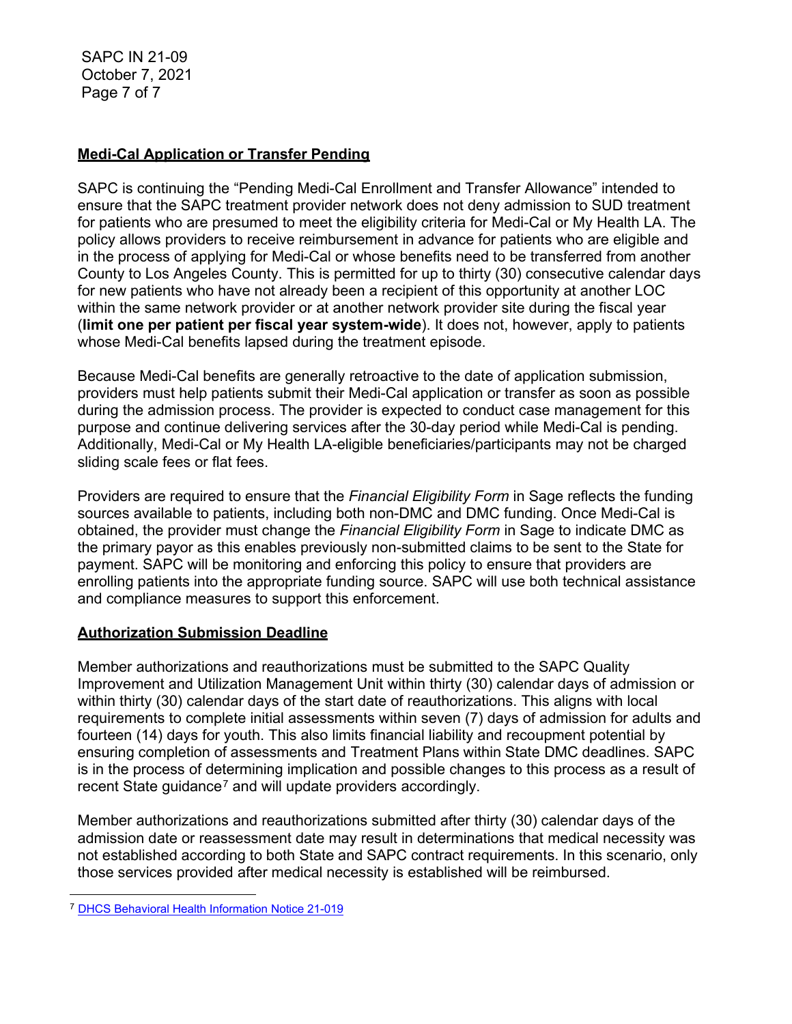SAPC IN 21-09 October 7, 2021 Page 7 of 7

## **Medi-Cal Application or Transfer Pending**

SAPC is continuing the "Pending Medi-Cal Enrollment and Transfer Allowance" intended to ensure that the SAPC treatment provider network does not deny admission to SUD treatment for patients who are presumed to meet the eligibility criteria for Medi-Cal or My Health LA. The policy allows providers to receive reimbursement in advance for patients who are eligible and in the process of applying for Medi-Cal or whose benefits need to be transferred from another County to Los Angeles County. This is permitted for up to thirty (30) consecutive calendar days for new patients who have not already been a recipient of this opportunity at another LOC within the same network provider or at another network provider site during the fiscal year (**limit one per patient per fiscal year system-wide**). It does not, however, apply to patients whose Medi-Cal benefits lapsed during the treatment episode.

Because Medi-Cal benefits are generally retroactive to the date of application submission, providers must help patients submit their Medi-Cal application or transfer as soon as possible during the admission process. The provider is expected to conduct case management for this purpose and continue delivering services after the 30-day period while Medi-Cal is pending. Additionally, Medi-Cal or My Health LA-eligible beneficiaries/participants may not be charged sliding scale fees or flat fees.

Providers are required to ensure that the *Financial Eligibility Form* in Sage reflects the funding sources available to patients, including both non-DMC and DMC funding. Once Medi-Cal is obtained, the provider must change the *Financial Eligibility Form* in Sage to indicate DMC as the primary payor as this enables previously non-submitted claims to be sent to the State for payment. SAPC will be monitoring and enforcing this policy to ensure that providers are enrolling patients into the appropriate funding source. SAPC will use both technical assistance and compliance measures to support this enforcement.

## **Authorization Submission Deadline**

Member authorizations and reauthorizations must be submitted to the SAPC Quality Improvement and Utilization Management Unit within thirty (30) calendar days of admission or within thirty (30) calendar days of the start date of reauthorizations. This aligns with local requirements to complete initial assessments within seven (7) days of admission for adults and fourteen (14) days for youth. This also limits financial liability and recoupment potential by ensuring completion of assessments and Treatment Plans within State DMC deadlines. SAPC is in the process of determining implication and possible changes to this process as a result of recent State guidance<sup>[7](#page-6-0)</sup> and will update providers accordingly.

Member authorizations and reauthorizations submitted after thirty (30) calendar days of the admission date or reassessment date may result in determinations that medical necessity was not established according to both State and SAPC contract requirements. In this scenario, only those services provided after medical necessity is established will be reimbursed.

<span id="page-6-0"></span><sup>7</sup> [DHCS Behavioral Health Information Notice 21-019](https://www.dhcs.ca.gov/Documents/BHIN-21-019-DMC-ODS-Updated-Policy-on-Medical-Necessity-and-Level-of-Care.pdf)